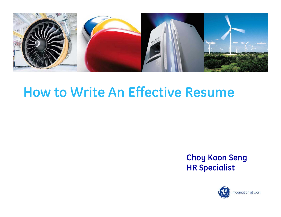

# **How to Write An Effective Resume**

#### **Choy Koon Seng HR Specialist**

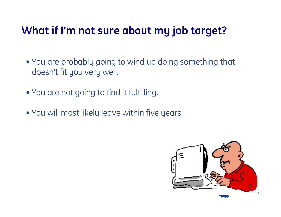### **What if I'm not sure about my job target?**

- You are probably going to wind up doing something that doesn't fit you very well.
- You are not going to find it fulfilling.
- You will most likely leave within five years.

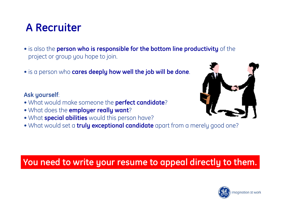### **A Recruiter**

- is also the **person who is responsible for the bottom line productivity** of the project or group you hope to join.
- is a person who **cares deeply how well the job will be done**.

#### **Ask yourself**:

- What would make someone the **perfect candidate**?
- What does the **employer really want**?
- What **special abilities** would this person have?
- What would set a **truly exceptional candidate** apart from a merely good one?

#### **You need to write your resume to appeal directly to them.**



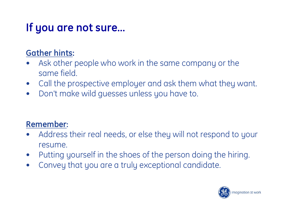# **If you are not sure…**

#### **Gather hints:**

- • Ask other people who work in the same company or the same field.
- •Call the prospective employer and ask them what they want.
- $\bullet$ Don't make wild guesses unless you have to.

#### **Remember:**

- • Address their real needs, or else they will not respond to your resume.
- •Putting yourself in the shoes of the person doing the hiring.
- $\bullet$ Convey that you are a truly exceptional candidate.

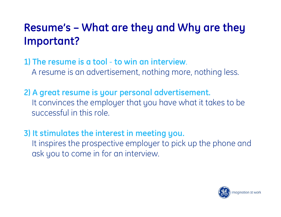## **Resume's – What are they and Why are they Important?**

**1) The resume is a tool** - **to win an interview**. A resume is an advertisement, nothing more, nothing less.

**2) A great resume is your personal advertisement.** It convinces the employer that you have what it takes to be successful in this role.

**3) It stimulates the interest in meeting you.** It inspires the prospective employer to pick up the phone and ask you to come in for an interview.

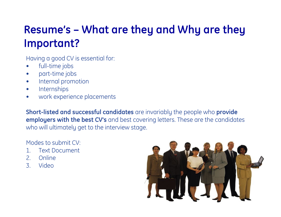### **Resume's – What are they and Why are they Important?**

Having a good CV is essential for:

- $\bullet$ full-time jobs
- •part-time jobs
- •Internal promotion
- •Internships
- •work experience placements

**Short-listed and successful candidates** are invariably the people who **provide employers with the best CV's** and best covering letters. These are the candidates who will ultimately get to the interview stage.

Modes to submit CV:

- 1. Text Document
- 2. Online
- 3. Video

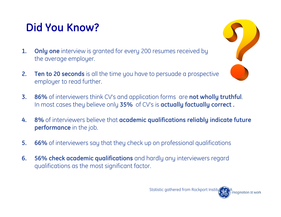## **Did You Know?**

- **1. Only one** interview is granted for every 200 resumes received by the average employer.
- **2. Ten to 20 seconds** is all the time you have to persuade a prospective employer to read further.



- **4. 8%** of interviewers believe that **academic qualifications reliably indicate future performance** in the job.
- **5. 66%** of interviewers say that they check up on professional qualifications
- **6. 56% check academic qualifications** and hardly any interviewers regard qualifications as the most significant factor.



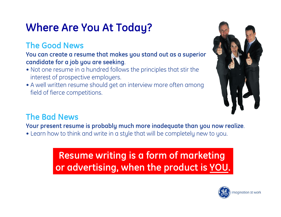# **Where Are You At Today?**

#### **The Good News**

**You can create a resume that makes you stand out as a superior candidate for a job you are seeking**.

- Not one resume in a hundred follows the principles that stir the interest of prospective employers.
- A well written resume should get an interview more often among field of fierce competitions.



#### **The Bad News**

**Your present resume is probably much more inadequate than you now realize**.

• Learn how to think and write in a style that will be completely new to you.

### **Resume writing is a form of marketing or advertising, when the product is YOU.**

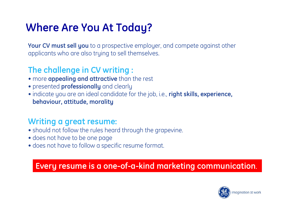## **Where Are You At Today?**

**Your CV must sell you** to a prospective employer, and compete against other applicants who are also truing to sell themselves.

#### **The challenge in CV writing :**

- more **appealing and attractive** than the rest
- presented **professionally** and clearly
- indicate you are an ideal candidate for the job, i.e., **right skills, experience, behaviour, attitude, morality**

#### **Writing a great resume:**

- should not follow the rules heard through the grapevine.
- does not have to be one page
- does not have to follow a specific resume format.

#### **Every resume is a one-of-a-kind marketing communication**.

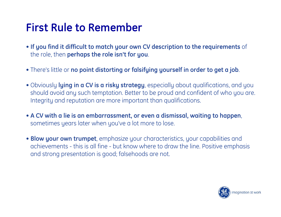### **First Rule to Remember**

- **If you find it difficult to match your own CV description to the requirements** of the role, then **perhaps the role isn't for you**.
- There's little or **no point distorting or falsifying yourself in order to get a job**.
- Obviously **lying in a CV is a risky strategy**, especially about qualifications, and you should avoid any such temptation. Better to be proud and confident of who you are. Integrity and reputation are more important than qualifications.
- **A CV with a lie is an embarrassment, or even a dismissal, waiting to happen**, sometimes years later when you've a lot more to lose.
- **Blow your own trumpet**, emphasize your characteristics, your capabilities and achievements - this is all fine - but know where to draw the line. Positive emphasis and strong presentation is good; falsehoods are not.

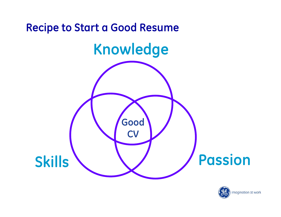

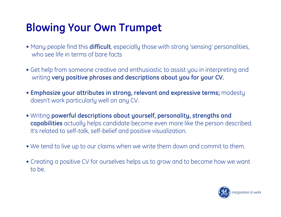## **Blowing Your Own Trumpet**

- Many people find this **difficult**, especially those with strong 'sensing' personalities, who see life in terms of bare facts
- Get help from someone creative and enthusiastic to assist you in interpreting and writing **very positive phrases and descriptions about you for your CV.**
- **Emphasize your attributes in strong, relevant and expressive terms;** modesty doesn't work particularly well on any CV.
- Writing **powerful descriptions about yourself, personality, strengths and capabilities** actually helps candidate become even more like the person described. It's related to self-talk, self-belief and positive visualization.
- We tend to live up to our claims when we write them down and commit to them.
- Creating a positive CV for ourselves helps us to grow and to become how we want to be.

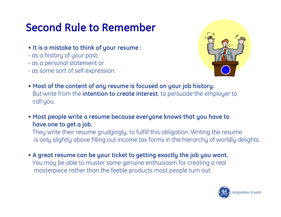## **Second Rule to Remember**

- **It is a mistake to think of your resume :**
- as a history of your past,
- as a personal statement or
- as some sort of self expression.



- **Most of the content of any resume is focused on your job history.** But write from the **intention to create interest**, to persuade the employer to call you.
- **Most people write a resume because everyone knows that you have to have one to get a job.**

They write their resume grudgingly, to fulfill this obligation. Writing the resume is only slightly above filling out income tax forms in the hierarchy of worldly delights.

• **A great resume can be your ticket to getting exactly the job you want.** You may be able to muster some genuine enthusiasm for creating a real masterpiece rather than the feeble products most people turn out.

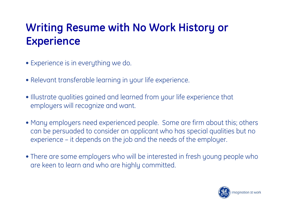## **Writing Resume with No Work History or Experience**

- Experience is in everything we do.
- Relevant transferable learning in your life experience.
- Illustrate qualities gained and learned from your life experience that employers will recognize and want.
- Many employers need experienced people. Some are firm about this; others can be persuaded to consider an applicant who has special qualities but no experience – it depends on the job and the needs of the employer.
- There are some employers who will be interested in fresh young people who are keen to learn and who are highly committed.

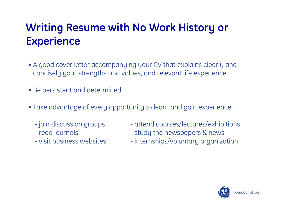## **Writing Resume with No Work History or Experience**

- A good cover letter accompanying your CV that explains clearly and concisely your strengths and values, and relevant life experience.
- Be persistent and determined
- Take advantage of every opportunity to learn and gain experience:
	- join discussion groups
	- read journals
	- visit business websites
- attend courses/lectures/exhibitions
- study the newspapers & news
- internships/voluntary organization

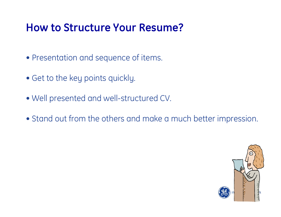### **How to Structure Your Resume?**

- Presentation and sequence of items.
- Get to the key points quickly.
- Well presented and well-structured CV.
- Stand out from the others and make a much better impression.

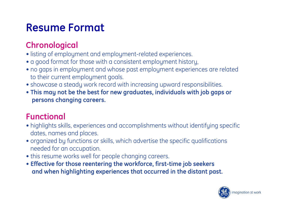### **Resume Format**

### **Chronological**

- listing of employment and employment-related experiences.
- a good format for those with a consistent employment history,
- no gaps in employment and whose past employment experiences are related to their current employment goals.
- showcase a steady work record with increasing upward responsibilities.
- **This may not be the best for new graduates, individuals with job gaps or persons changing careers.**

#### **Functional**

- highlights skills, experiences and accomplishments without identifying specific dates, names and places.
- organized by functions or skills, which advertise the specific qualifications needed for an occupation.
- this resume works well for people changing careers.
- **Effective for those reentering the workforce, first-time job seekers and when highlighting experiences that occurred in the distant past.**

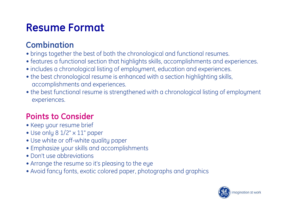### **Resume Format**

#### **Combination**

- brings together the best of both the chronological and functional resumes.
- features a functional section that highlights skills, accomplishments and experiences.
- includes a chronological listing of employment, education and experiences.
- the best chronological resume is enhanced with a section highlighting skills, accomplishments and experiences.
- the best functional resume is strengthened with a chronological listing of employment experiences.

#### **Points to Consider**

- Keep your resume brief
- Use only 8 1/2" x 11" paper
- Use white or off-white quality paper
- Emphasize your skills and accomplishments
- Don't use abbreviations
- Arrange the resume so it's pleasing to the eye
- Avoid fancy fonts, exotic colored paper, photographs and graphics

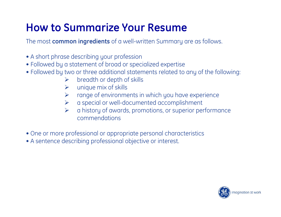## **How to Summarize Your Resume**

The most **common ingredients** of a well-written Summary are as follows.

- A short phrase describing your profession
- Followed by a statement of broad or specialized expertise
- Followed by two or three additional statements related to any of the following:
	- $\blacktriangleright$ breadth or depth of skills
	- $\blacktriangleright$ unique mix of skills
	- $\blacktriangleright$ range of environments in which you have experience
	- $\blacktriangleright$ a special or well-documented accomplishment
	- $\blacktriangleright$  a history of awards, promotions, or superior performance commendations
- One or more professional or appropriate personal characteristics
- A sentence describing professional objective or interest.

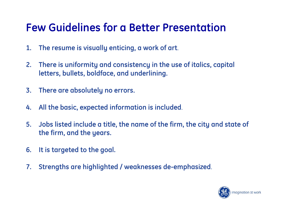### **Few Guidelines for a Better Presentation**

- **1. The resume is visually enticing, a work of art**.
- **2. There is uniformity and consistency in the use of italics, capital letters, bullets, boldface, and underlining.**
- **3. There are absolutely no errors.**
- **4. All the basic, expected information is included**.
- **5. Jobs listed include a title, the name of the firm, the city and state of the firm, and the years.**
- **6. It is targeted to the goal.**
- **7. Strengths are highlighted / weaknesses de-emphasized**.

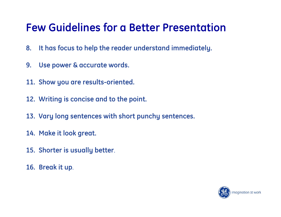### **Few Guidelines for a Better Presentation**

- **8. It has focus to help the reader understand immediately.**
- **9. Use power & accurate words.**
- **11. Show you are results-oriented.**
- **12. Writing is concise and to the point.**
- **13. Vary long sentences with short punchy sentences.**
- **14. Make it look great.**
- **15. Shorter is usually better**.
- **16. Break it up**.

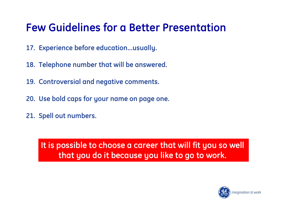### **Few Guidelines for a Better Presentation**

- **17. Experience before education...usually.**
- **18. Telephone number that will be answered.**
- **19. Controversial and negative comments.**
- **20. Use bold caps for your name on page one.**
- **21. Spell out numbers.**

**It is possible to choose a career that will fit you so well that you do it because you like to go to work.** 

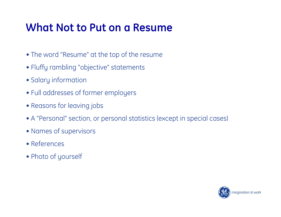### **What Not to Put on a Resume**

- The word "Resume" at the top of the resume
- Fluffy rambling "objective" statements
- Salary information
- Full addresses of former employers
- Reasons for leaving jobs
- A "Personal" section, or personal statistics (except in special cases)
- Names of supervisors
- References
- Photo of yourself

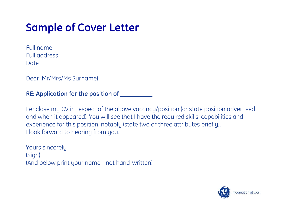## **Sample of Cover Letter**

Full nameFull addressDate

Dear (Mr/Mrs/Ms Surname)

#### **RE: Application for the position of \_\_\_\_\_\_\_\_\_\_**

I enclose my CV in respect of the above vacancy/position (or state position advertised and when it appeared). You will see that I have the required skills, capabilities and experience for this position, notably (state two or three attributes briefly). I look forward to hearing from you.

Yours sincerely (Sign) (And below print your name - not hand-written)

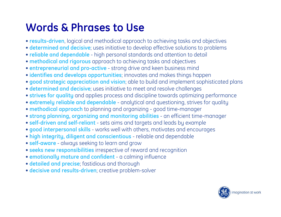## **Words & Phrases to Use**

- **results-driven**, logical and methodical approach to achieving tasks and objectives
- **determined and decisive**; uses initiative to develop effective solutions to problems
- **reliable and dependable** high personal standards and attention to detail
- **methodical and rigorous** approach to achieving tasks and objectives
- **entrepreneurial and pro-active** strong drive and keen business mind
- **identifies and develops opportunities**; innovates and makes things happen
- **good strategic appreciation and vision**; able to build and implement sophisticated plans
- **determined and decisive**; uses initiative to meet and resolve challenges
- **strives for quality** and applies process and discipline towards optimizing performance
- **extremely reliable and dependable** analytical and questioning, strives for quality
- **methodical approach** to planning and organizing good time-manager
- **strong planning, organizing and monitoring abilities** an efficient time-manager
- **self-driven and self-reliant** sets aims and targets and leads by example
- **good interpersonal skills** works well with others, motivates and encourages
- **high integrity, diligent and conscientious** reliable and dependable
- **self-aware** always seeking to learn and grow
- **seeks new responsibilities** irrespective of reward and recognition
- **emotionally mature and confident** a calming influence
- **detailed and precise**; fastidious and thorough
- **decisive and results-driven**; creative problem-solver